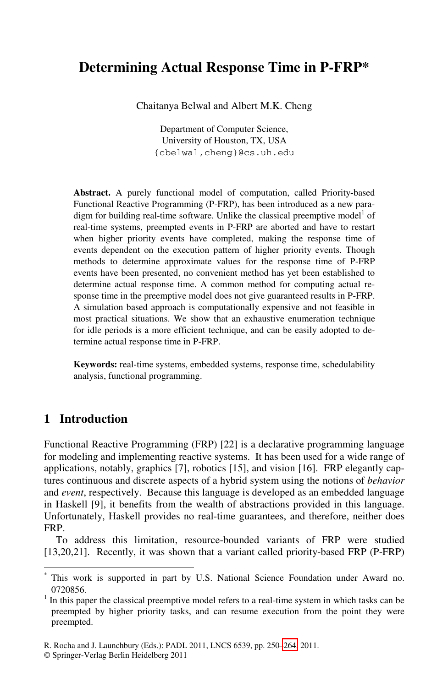# **Determining Actual Response Time in P-FRP\***

Chaitanya Belwal and Albert M.K. Cheng

Department of Computer Science, University of Houston, TX, USA {cbelwal,cheng}@cs.uh.edu

**Abstract.** A purely functional model of computation, called Priority-based Functional Reactive Programming (P-FRP), has been introduced as a new paradigm for building real-time software. Unlike the classical preemptive model<sup>1</sup> of real-time systems, preempted events in P-FRP are aborted and have to restart when higher priority events have completed, making the response time of events dependent on the execution pattern of higher priority events. Though methods to determine approximate values for the response time of P-FRP events have been presented, no convenient method has yet been established to determine actual response time. A common method for computing actual response time in the preemptive model does not give guaranteed results in P-FRP. A simulation based approach is computationally expensive and not feasible in most practical situations. We show that an exhaustive enumeration technique for idle periods is a more efficient technique, and can be easily adopted to determine actual response time in P-FRP.

**Keywords:** real-time systems, embedded systems, response time, schedulability analysis, functional programming.

## **1 Introduction**

l

Functional Reactive Programming (FRP) [22] is a declarative programming language for modeling and implementing reactive systems. It has been used for a wide range of applications, notably, graphics [7], robotics [15], and vision [16]. FRP elegantly captures continuous and discrete aspects of a hybrid system using the notions of *behavior* and *event*, respectively. Because this language is developed as an embedded language in Haskell [9], it benefits from the wealth of abstractions provided in this language. Unfortunately, Haskell provides no real-time guarantees, and therefore, neither does FRP.

To address this limitation, resource-bounded variants of FRP were studied [13,20,21]. Recently, it was shown [tha](#page-14-0)t a variant called priority-based FRP (P-FRP)

<sup>\*</sup> This work is supported in part by U.S. National Science Foundation under Award no. 0720856. 1

 $<sup>1</sup>$  In this paper the classical preemptive model refers to a real-time system in which tasks can be</sup> preempted by higher priority tasks, and can resume execution from the point they were preempted.

R. Rocha and J. Launchbury (Eds.): PADL 2011, LNCS 6539, pp. 250–264, 2011.

<sup>©</sup> Springer-Verlag Berlin Heidelberg 2011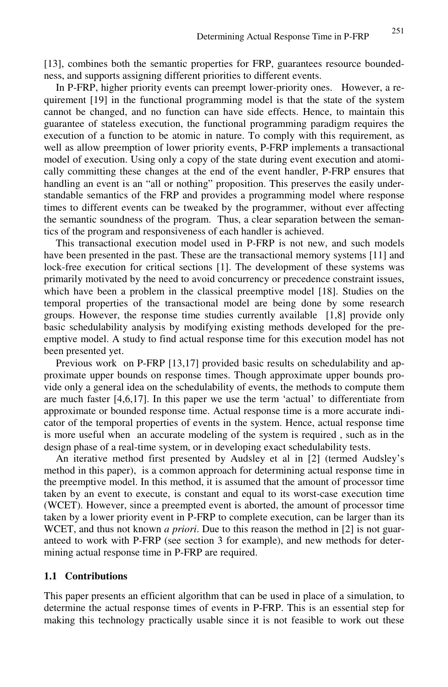[13], combines both the semantic properties for FRP, guarantees resource boundedness, and supports assigning different priorities to different events.

In P-FRP, higher priority events can preempt lower-priority ones. However, a requirement [19] in the functional programming model is that the state of the system cannot be changed, and no function can have side effects. Hence, to maintain this guarantee of stateless execution, the functional programming paradigm requires the execution of a function to be atomic in nature. To comply with this requirement, as well as allow preemption of lower priority events, P-FRP implements a transactional model of execution. Using only a copy of the state during event execution and atomically committing these changes at the end of the event handler, P-FRP ensures that handling an event is an "all or nothing" proposition. This preserves the easily understandable semantics of the FRP and provides a programming model where response times to different events can be tweaked by the programmer, without ever affecting the semantic soundness of the program. Thus, a clear separation between the semantics of the program and responsiveness of each handler is achieved.

This transactional execution model used in P-FRP is not new, and such models have been presented in the past. These are the transactional memory systems [11] and lock-free execution for critical sections [1]. The development of these systems was primarily motivated by the need to avoid concurrency or precedence constraint issues, which have been a problem in the classical preemptive model [18]. Studies on the temporal properties of the transactional model are being done by some research groups. However, the response time studies currently available [1,8] provide only basic schedulability analysis by modifying existing methods developed for the preemptive model. A study to find actual response time for this execution model has not been presented yet.

Previous work on P-FRP [13,17] provided basic results on schedulability and approximate upper bounds on response times. Though approximate upper bounds provide only a general idea on the schedulability of events, the methods to compute them are much faster [4,6,17]. In this paper we use the term 'actual' to differentiate from approximate or bounded response time. Actual response time is a more accurate indicator of the temporal properties of events in the system. Hence, actual response time is more useful when an accurate modeling of the system is required , such as in the design phase of a real-time system, or in developing exact schedulability tests.

An iterative method first presented by Audsley et al in [2] (termed Audsley's method in this paper), is a common approach for determining actual response time in the preemptive model. In this method, it is assumed that the amount of processor time taken by an event to execute, is constant and equal to its worst-case execution time (WCET). However, since a preempted event is aborted, the amount of processor time taken by a lower priority event in P-FRP to complete execution, can be larger than its WCET, and thus not known *a priori*. Due to this reason the method in [2] is not guaranteed to work with P-FRP (see section 3 for example), and new methods for determining actual response time in P-FRP are required.

### **1.1 Contributions**

This paper presents an efficient algorithm that can be used in place of a simulation, to determine the actual response times of events in P-FRP. This is an essential step for making this technology practically usable since it is not feasible to work out these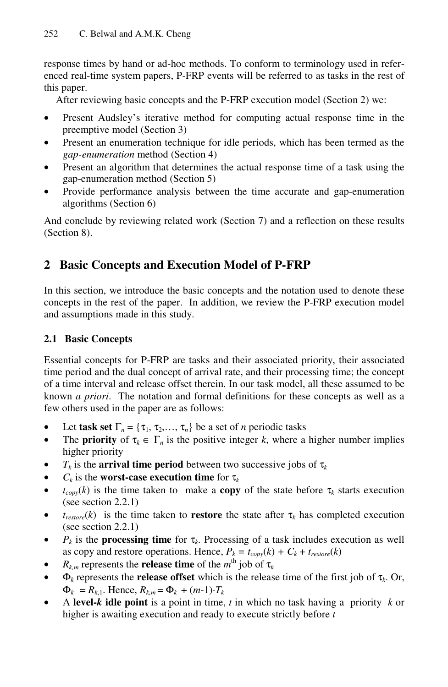response times by hand or ad-hoc methods. To conform to terminology used in referenced real-time system papers, P-FRP events will be referred to as tasks in the rest of this paper.

After reviewing basic concepts and the P-FRP execution model (Section 2) we:

- Present Audsley's iterative method for computing actual response time in the preemptive model (Section 3)
- Present an enumeration technique for idle periods, which has been termed as the *gap-enumeration* method (Section 4)
- Present an algorithm that determines the actual response time of a task using the gap-enumeration method (Section 5)
- Provide performance analysis between the time accurate and gap-enumeration algorithms (Section 6)

And conclude by reviewing related work (Section 7) and a reflection on these results (Section 8).

# **2 Basic Concepts and Execution Model of P-FRP**

In this section, we introduce the basic concepts and the notation used to denote these concepts in the rest of the paper. In addition, we review the P-FRP execution model and assumptions made in this study.

## **2.1 Basic Concepts**

Essential concepts for P-FRP are tasks and their associated priority, their associated time period and the dual concept of arrival rate, and their processing time; the concept of a time interval and release offset therein. In our task model, all these assumed to be known *a priori*. The notation and formal definitions for these concepts as well as a few others used in the paper are as follows:

- Let **task set**  $\Gamma_n = {\tau_1, \tau_2, ..., \tau_n}$  be a set of *n* periodic tasks
- The **priority** of  $\tau_k \in \Gamma_n$  is the positive integer *k*, where a higher number implies higher priority
- $T_k$  is the **arrival time period** between two successive jobs of  $\tau_k$
- $C_k$  is the **worst-case execution time** for  $\tau_k$
- $t_{conv}(k)$  is the time taken to make a **copy** of the state before  $\tau_k$  starts execution (see section 2.2.1)
- $t_{\text{restore}}(k)$  is the time taken to **restore** the state after  $\tau_k$  has completed execution (see section 2.2.1)
- $P_k$  is the **processing time** for  $\tau_k$ . Processing of a task includes execution as well as copy and restore operations. Hence,  $P_k = t_{copy}(k) + C_k + t_{restore}(k)$
- $R_{k,m}$  represents the **release time** of the  $m^{\text{th}}$  job of  $\tau_k$
- $\Phi_k$  represents the **release offset** which is the release time of the first job of  $\tau_k$ . Or,  $\Phi_k = R_{k,1}$ . Hence,  $R_{k,m} = \Phi_k + (m-1) \cdot T_k$
- A **level-***k* **idle point** is a point in time, *t* in which no task having a priority *k* or higher is awaiting execution and ready to execute strictly before *t*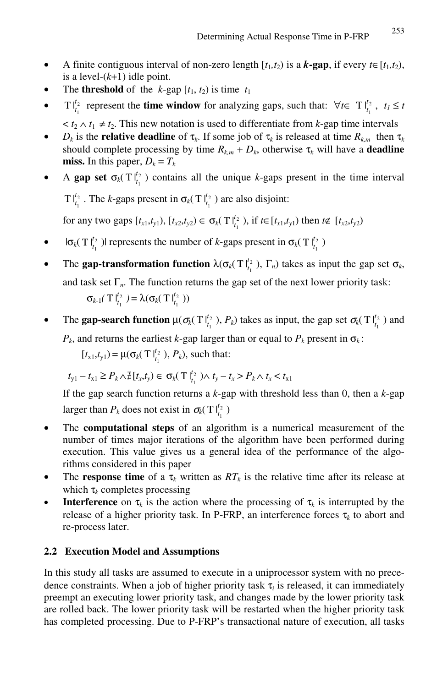- A finite contiguous interval of non-zero length  $[t_1, t_2)$  is a *k***-gap**, if every  $t \in [t_1, t_2)$ , is a level- $(k+1)$  idle point.
- The **threshold** of the *k*-gap  $[t_1, t_2)$  is time  $t_1$
- **•**  $\text{Tr} \int_{t_1}^{t_2} \text{ represent the **time window** for analyzing gaps, such that: ∀ $t \in \text{Tr} \int_{t_1}^{t_2}$ ,  $t_1 \leq t_2$$ 
	- $lt t_2 \wedge t_1 \neq t_2$ . This new notation is used to differentiate from *k*-gap time intervals
- *D<sub>k</sub>* is the **relative deadline** of  $\tau_k$ . If some job of  $\tau_k$  is released at time  $R_{k,m}$  then  $\tau_k$ should complete processing by time  $R_{k,m} + D_k$ , otherwise  $\tau_k$  will have a **deadline miss.** In this paper,  $D_k = T_k$
- A gap set  $\sigma_k(T|_{t_1}^{t_2})$  contains all the unique *k*-gaps present in the time interval T  $|_{t_1}^{t_2}$ . The *k*-gaps present in  $\sigma_k$ (T  $|_{t_1}^{t_2}$ ) are also disjoint:

for any two gaps  $[t_{x1}, t_{y1}), [t_{x2}, t_{y2}) \in \sigma_k(T \big|_{t_1}^{t_2}), \text{ if } t \in [t_{x1}, t_{y1}) \text{ then } t \notin [t_{x2}, t_{y2})$ 

- $|\sigma_k(T|_{t_1}^{t_2})|$  represents the number of *k*-gaps present in  $\sigma_k(T|_{t_1}^{t_2})$
- The **gap-transformation function**  $\lambda(\sigma_k(T | t_1^2), \Gamma_n)$  takes as input the gap set  $\sigma_k$ , and task set  $\Gamma_n$ . The function returns the gap set of the next lower priority task:  $\sigma_{k-1}(\mathrm{T}|_{t_1}^{t_2}) = \lambda(\sigma_k(\mathrm{T}|_{t_1}^{t_2}))$
- The gap-search function  $\mu(\sigma_k(T \vert_{t_1}^{t_2}), P_k)$  takes as input, the gap set  $\sigma_k(T \vert_{t_1}^{t_2})$  and  $P_k$ , and returns the earliest *k*-gap larger than or equal to  $P_k$  present in  $\sigma_k$ :

 $[t_{x1}, t_{y1}) = \mu(\sigma_k(T \mid_{t_1}^{t_2}), P_k)$ , such that:

$$
t_{y1} - t_{x1} \ge P_k \wedge \mathbb{1}[t_x, t_y] \in \sigma_k(\mathbf{T}|_{t_1}^{t_2}) \wedge t_y - t_x > P_k \wedge t_x < t_{x1}
$$

If the gap search function returns a *k*-gap with threshold less than 0, then a *k*-gap larger than  $P_k$  does not exist in  $\sigma_k(T \vert_{t_1}^{t_2})$ 

- The **computational steps** of an algorithm is a numerical measurement of the number of times major iterations of the algorithm have been performed during execution. This value gives us a general idea of the performance of the algorithms considered in this paper
- The **response time** of a  $\tau_k$  written as  $RT_k$  is the relative time after its release at which  $\tau_k$  completes processing
- **Interference** on  $\tau_k$  is the action where the processing of  $\tau_k$  is interrupted by the release of a higher priority task. In P-FRP, an interference forces  $\tau_k$  to abort and re-process later.

## **2.2 Execution Model and Assumptions**

In this study all tasks are assumed to execute in a uniprocessor system with no precedence constraints. When a job of higher priority task  $\tau_i$  is released, it can immediately preempt an executing lower priority task, and changes made by the lower priority task are rolled back. The lower priority task will be restarted when the higher priority task has completed processing. Due to P-FRP's transactional nature of execution, all tasks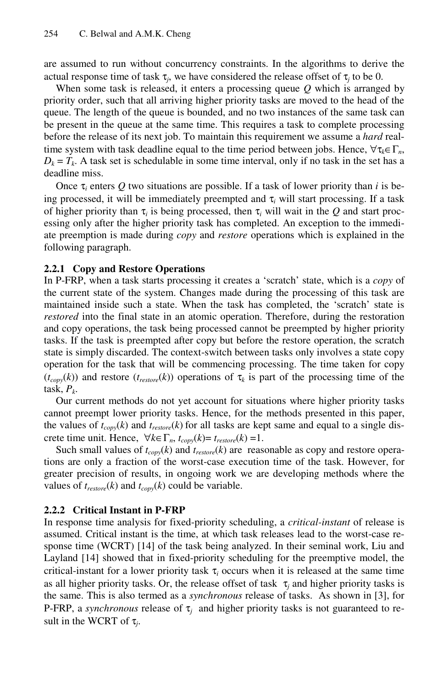are assumed to run without concurrency constraints. In the algorithms to derive the actual response time of task  $\tau_i$ , we have considered the release offset of  $\tau_i$  to be 0.

When some task is released, it enters a processing queue *Q* which is arranged by priority order, such that all arriving higher priority tasks are moved to the head of the queue. The length of the queue is bounded, and no two instances of the same task can be present in the queue at the same time. This requires a task to complete processing before the release of its next job. To maintain this requirement we assume a *hard* realtime system with task deadline equal to the time period between jobs. Hence,  $\forall \tau_k \in \Gamma_n$ ,  $D_k = T_k$ . A task set is schedulable in some time interval, only if no task in the set has a deadline miss.

Once  $\tau_i$  enters Q two situations are possible. If a task of lower priority than *i* is being processed, it will be immediately preempted and  $\tau_i$  will start processing. If a task of higher priority than  $\tau_i$  is being processed, then  $\tau_i$  will wait in the *Q* and start processing only after the higher priority task has completed. An exception to the immediate preemption is made during *copy* and *restore* operations which is explained in the following paragraph.

### **2.2.1 Copy and Restore Operations**

In P-FRP, when a task starts processing it creates a 'scratch' state, which is a *copy* of the current state of the system. Changes made during the processing of this task are maintained inside such a state. When the task has completed, the 'scratch' state is *restored* into the final state in an atomic operation. Therefore, during the restoration and copy operations, the task being processed cannot be preempted by higher priority tasks. If the task is preempted after copy but before the restore operation, the scratch state is simply discarded. The context-switch between tasks only involves a state copy operation for the task that will be commencing processing. The time taken for copy  $(t_{conv}(k))$  and restore  $(t_{restore}(k))$  operations of  $\tau_k$  is part of the processing time of the task,  $P_k$ .

Our current methods do not yet account for situations where higher priority tasks cannot preempt lower priority tasks. Hence, for the methods presented in this paper, the values of  $t_{copy}(k)$  and  $t_{resource}(k)$  for all tasks are kept same and equal to a single discrete time unit. Hence,  $\forall k \in \Gamma_n$ ,  $t_{conv}(k) = t_{restore}(k) = 1$ .

Such small values of  $t_{copy}(k)$  and  $t_{reslore}(k)$  are reasonable as copy and restore operations are only a fraction of the worst-case execution time of the task. However, for greater precision of results, in ongoing work we are developing methods where the values of  $t_{\text{restore}}(k)$  and  $t_{\text{copy}}(k)$  could be variable.

#### **2.2.2 Critical Instant in P-FRP**

In response time analysis for fixed-priority scheduling, a *critical-instant* of release is assumed. Critical instant is the time, at which task releases lead to the worst-case response time (WCRT) [14] of the task being analyzed. In their seminal work, Liu and Layland [14] showed that in fixed-priority scheduling for the preemptive model, the critical-instant for a lower priority task  $\tau_i$  occurs when it is released at the same time as all higher priority tasks. Or, the release offset of task  $\tau$ <sub>*i*</sub> and higher priority tasks is the same. This is also termed as a *synchronous* release of tasks. As shown in [3], for P-FRP, a *synchronous* release of  $\tau$ <sub>*i*</sub> and higher priority tasks is not guaranteed to result in the WCRT of  $\tau_i$ .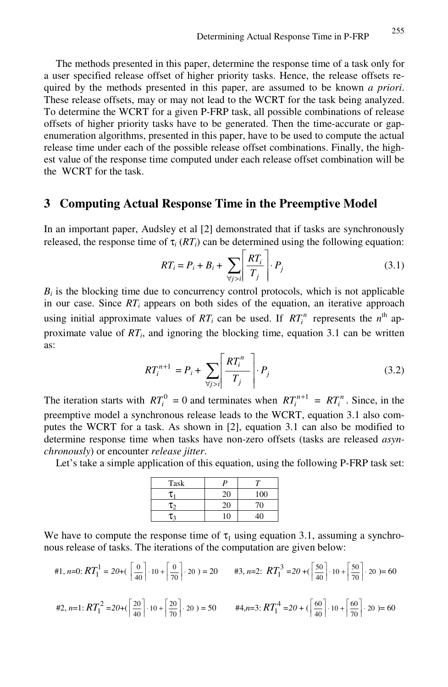The methods presented in this paper, determine the response time of a task only for a user specified release offset of higher priority tasks. Hence, the release offsets required by the methods presented in this paper, are assumed to be known *a priori*. These release offsets, may or may not lead to the WCRT for the task being analyzed. To determine the WCRT for a given P-FRP task, all possible combinations of release offsets of higher priority tasks have to be generated. Then the time-accurate or gapenumeration algorithms, presented in this paper, have to be used to compute the actual release time under each of the possible release offset combinations. Finally, the highest value of the response time computed under each release offset combination will be the WCRT for the task.

## **3 Computing Actual Response Time in the Preemptive Model**

In an important paper, Audsley et al [2] demonstrated that if tasks are synchronously released, the response time of  $\tau_i$  ( $RT_i$ ) can be determined using the following equation:

$$
RT_i = P_i + B_i + \sum_{\forall j > i} \left| \frac{RT_i}{T_j} \right| \cdot P_j \tag{3.1}
$$

 $B_i$  is the blocking time due to concurrency control protocols, which is not applicable in our case. Since  $RT_i$  appears on both sides of the equation, an iterative approach using initial approximate values of  $RT_i$  can be used. If  $RT_i$  represents the  $n^{\text{th}}$  approximate value of  $RT_i$ , and ignoring the blocking time, equation 3.1 can be written as:

$$
RT_i^{n+1} = P_i + \sum_{\forall j > i} \left[ \frac{RT_i^n}{T_j} \right] \cdot P_j \tag{3.2}
$$

The iteration starts with  $RT_i^0 = 0$  and terminates when  $RT_i^{n+1} = RT_i^n$ . Since, in the preemptive model a synchronous release leads to the WCRT, equation 3.1 also computes the WCRT for a task. As shown in [2], equation 3.1 can also be modified to determine response time when tasks have non-zero offsets (tasks are released *asynchronously*) or encounter *release jitter*.

Let's take a simple application of this equation, using the following P-FRP task set:

| Task       |          |              |
|------------|----------|--------------|
| τ          | 20       | 100          |
| $\tau_{2}$ | 20       | 70           |
| τ.         | $\left($ | $40^{\circ}$ |

We have to compute the response time of  $\tau_1$  using equation 3.1, assuming a synchronous release of tasks. The iterations of the computation are given below:

$$
\#1, n=0: RT_1^1 = 20 + (\left\lceil \frac{0}{40} \right\rceil \cdot 10 + \left\lceil \frac{0}{70} \right\rceil \cdot 20) = 20 \qquad \#3, n=2: RT_1^3 = 20 + (\left\lceil \frac{50}{40} \right\rceil \cdot 10 + \left\lceil \frac{50}{70} \right\rceil \cdot 20) = 60
$$
  

$$
\#2, n=1: RT_1^2 = 20 + (\left\lceil \frac{20}{40} \right\rceil \cdot 10 + \left\lceil \frac{20}{70} \right\rceil \cdot 20) = 50 \qquad \#4, n=3: RT_1^4 = 20 + (\left\lceil \frac{60}{40} \right\rceil \cdot 10 + \left\lceil \frac{60}{70} \right\rceil \cdot 20) = 60
$$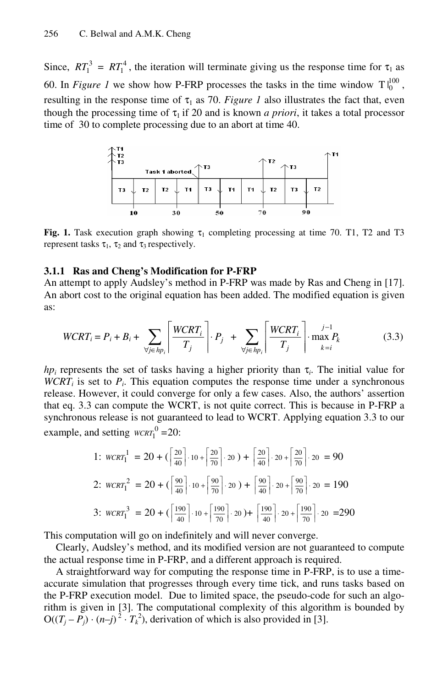Since,  $RT_1^3 = RT_1^4$ , the iteration will terminate giving us the response time for  $\tau_1$  as 60. In *Figure 1* we show how P-FRP processes the tasks in the time window  $T \big|_0^{100}$ , resulting in the response time of  $\tau_1$  as 70. Figure 1 also illustrates the fact that, even though the processing time of  $\tau_1$  if 20 and is known *a priori*, it takes a total processor time of 30 to complete processing due to an abort at time 40.



**Fig. 1.** Task execution graph showing  $\tau_1$  completing processing at time 70. T1, T2 and T3 represent tasks  $\tau_1$ ,  $\tau_2$  and  $\tau_3$  respectively.

### **3.1.1 Ras and Cheng's Modification for P-FRP**

An attempt to apply Audsley's method in P-FRP was made by Ras and Cheng in [17]. An abort cost to the original equation has been added. The modified equation is given as:

$$
WCRT_i = P_i + B_i + \sum_{\forall j \in hp_i} \left[ \frac{WCRT_i}{T_j} \right] \cdot P_j + \sum_{\forall j \in hp_i} \left[ \frac{WCRT_i}{T_j} \right] \cdot \max_{k=i} P_k \tag{3.3}
$$

*hp<sub>i</sub>* represents the set of tasks having a higher priority than  $\tau_i$ . The initial value for *WCRT<sub>i</sub>* is set to  $P_i$ . This equation computes the response time under a synchronous release. However, it could converge for only a few cases. Also, the authors' assertion that eq. 3.3 can compute the WCRT, is not quite correct. This is because in P-FRP a synchronous release is not guaranteed to lead to WCRT. Applying equation 3.3 to our example, and setting  $WCRT_1^0 = 20$ :

1: 
$$
WCRT_1^1 = 20 + (\left[\frac{20}{40}\right] \cdot 10 + \left[\frac{20}{70}\right] \cdot 20) + \left[\frac{20}{40}\right] \cdot 20 + \left[\frac{20}{70}\right] \cdot 20 = 90
$$
  
\n2:  $WCRT_1^2 = 20 + (\left[\frac{90}{40}\right] \cdot 10 + \left[\frac{90}{70}\right] \cdot 20) + \left[\frac{90}{40}\right] \cdot 20 + \left[\frac{90}{70}\right] \cdot 20 = 190$   
\n3:  $WCRT_1^3 = 20 + (\left[\frac{190}{40}\right] \cdot 10 + \left[\frac{190}{70}\right] \cdot 20) + \left[\frac{190}{40}\right] \cdot 20 + \left[\frac{190}{70}\right] \cdot 20 = 290$ 

This computation will go on indefinitely and will never converge.

Clearly, Audsley's method, and its modified version are not guaranteed to compute the actual response time in P-FRP, and a different approach is required.

A straightforward way for computing the response time in P-FRP, is to use a timeaccurate simulation that progresses through every time tick, and runs tasks based on the P-FRP execution model. Due to limited space, the pseudo-code for such an algorithm is given in [3]. The computational complexity of this algorithm is bounded by  $O((T_j - P_j) \cdot (n-j)^2 \cdot T_k^2)$ , derivation of which is also provided in [3].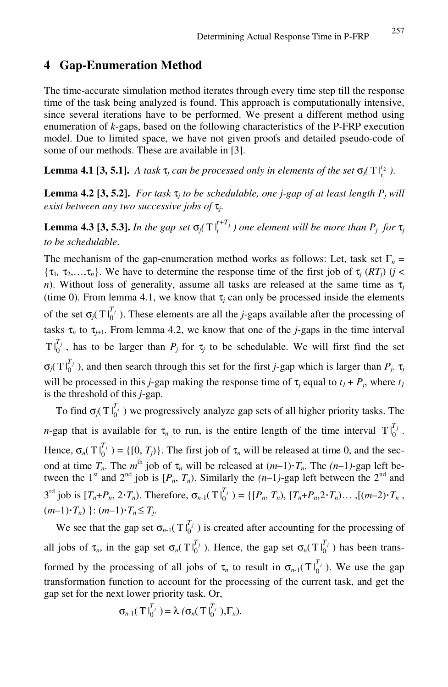## **4 Gap-Enumeration Method**

The time-accurate simulation method iterates through every time step till the response time of the task being analyzed is found. This approach is computationally intensive, since several iterations have to be performed. We present a different method using enumeration of *k*-gaps, based on the following characteristics of the P-FRP execution model. Due to limited space, we have not given proofs and detailed pseudo-code of some of our methods. These are available in [3].

**Lemma 4.1 [3, 5.1].** *A task*  $\tau_j$  *can be processed only in elements of the set*  $\sigma_j(T|_{t_1}^{t_2})$ *.* 

**Lemma 4.2 [3, 5.2].** *For task*  $\tau$ *j* to be schedulable, one *j*-gap of at least length  $P$ *j* will *exist between any two successive jobs of* τ*j*.

**Lemma 4.3 [3, 5.3].** *In the gap set*  $\sigma_j(T \mid_t^{t+T_j})$  $t^{+T_j}_{t}$  ) one element will be more than  $P_j$  for  $\tau_j$ *to be schedulable*.

The mechanism of the gap-enumeration method works as follows: Let, task set  $\Gamma_n$  =  $\{\tau_1, \tau_2, \ldots, \tau_n\}$ . We have to determine the response time of the first job of  $\tau_i$  (*RT<sub>i</sub>*) (*j* < *n*). Without loss of generality, assume all tasks are released at the same time as  $\tau$ (time 0). From lemma 4.1, we know that  $\tau_i$  can only be processed inside the elements of the set  $\sigma_j(T|_0^T)$ . These elements are all the *j*-gaps available after the processing of tasks  $\tau_n$  to  $\tau_{j+1}$ . From lemma 4.2, we know that one of the *j*-gaps in the time interval  $T\vert_0^{T_j}$ , has to be larger than  $P_j$  for  $\tau_j$  to be schedulable. We will first find the set  $\sigma_j(T|_0^{T_j})$ , and then search through this set for the first *j*-gap which is larger than  $P_j$ .  $\tau_j$ will be processed in this *j*-gap making the response time of  $\tau_i$  equal to  $t_1 + P_i$ , where  $t_1$ is the threshold of this *j*-gap.

To find  $\sigma_j(T|_0^T)$  we progressively analyze gap sets of all higher priority tasks. The *n*-gap that is available for  $\tau_n$  to run, is the entire length of the time interval  $T|_0^{T_j}$ . Hence,  $\sigma_n(T|_0^{T_j}) = \{ [0, T_j) \}$ . The first job of  $\tau_n$  will be released at time 0, and the second at time  $T_n$ . The  $m^{\text{th}}$  job of  $\tau_n$  will be released at  $(m-1)\cdot T_n$ . The  $(n-1)$ -gap left between the 1<sup>st</sup> and 2<sup>nd</sup> job is  $[P_n, T_n)$ . Similarly the  $(n-1)$ -gap left between the 2<sup>nd</sup> and  $3^{rd}$  job is  $[T_n+P_n, 2\cdot T_n)$ . Therefore,  $\sigma_{n-1}(T|_0^{T_j}) = \{[P_n, T_n), [T_n+P_n, 2\cdot T_n) \dots, [(m-2)\cdot T_n,$  $(m-1)\cdot T_n$ )  $\colon$   $(m-1)\cdot T_n \leq T_i$ .

We see that the gap set  $\sigma_{n-1}(T_{0}^{T_j})$  is created after accounting for the processing of all jobs of  $\tau_n$ , in the gap set  $\sigma_n(T|_0^{T_j})$ . Hence, the gap set  $\sigma_n(T|_0^{T_j})$  has been transformed by the processing of all jobs of  $\tau_n$  to result in  $\sigma_{n-1}(T|_0^T)$ . We use the gap transformation function to account for the processing of the current task, and get the gap set for the next lower priority task. Or,

$$
\sigma_{n\text{-}1}(\text{T}|_0^{T_j}) = \lambda \, (\sigma_n(\text{T}|_0^{T_j}), \Gamma_n).
$$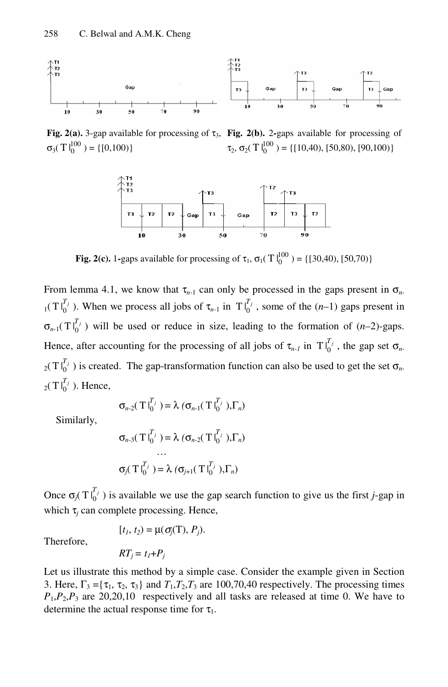

**Fig. 2(a).** 3-gap available for processing of  $\tau_3$ , **Fig. 2(b).** 2-gaps available for processing of  $\sigma_3(T \, \mathsf{I}_0^{100}) = \{ [0, 100) \}$ 

 $\tau_2$ ,  $\sigma_2$ (T $\vert_0^{100}$ ) = {[10,40), [50,80), [90,100)}



**Fig. 2(c).** 1-gaps available for processing of  $\tau_1$ ,  $\sigma_1(T \vert_0^{100}) = \{ [30,40), [50,70) \}$ 

From lemma 4.1, we know that  $\tau_{n-1}$  can only be processed in the gaps present in  $\sigma_{n-1}$  $T_1(T|_{0}^{T_j})$ . When we process all jobs of  $\tau_{n-1}$  in  $T|_{0}^{T_j}$ , some of the  $(n-1)$  gaps present in  $\sigma_{n-1}(T\vert_{0}^{T_j})$  will be used or reduce in size, leading to the formation of  $(n-2)$ -gaps. Hence, after accounting for the processing of all jobs of  $\tau_{n-l}$  in  $T|_{0}^{T_j}$ , the gap set  $\sigma_{n-l}$  $_{2}(T\int_{0}^{T_{j}})$  is created. The gap-transformation function can also be used to get the set  $\sigma_{n}$ .  $_2(T \vert_0^{T_j})$ . Hence,

$$
\sigma_{n-2}(\mathrm{T}|_{0}^{T_j}) = \lambda (\sigma_{n-1}(\mathrm{T}|_{0}^{T_j}),\Gamma_n)
$$

Similarly,

$$
\sigma_{n-3}(\mathrm{TI}_{0}^{T_j}) = \lambda (\sigma_{n-2}(\mathrm{TI}_{0}^{T_j}),\Gamma_n)
$$

$$
\cdots
$$

$$
\sigma_j(\mathrm{TI}_{0}^{T_j}) = \lambda (\sigma_{j+1}(\mathrm{TI}_{0}^{T_j}),\Gamma_n)
$$

Once  $\sigma_j(T \vert_0^{T_j})$  is available we use the gap search function to give us the first *j*-gap in which  $\tau$ <sub>*i*</sub> can complete processing. Hence,

Therefore,

$$
[t_1, t_2) = \mu(\sigma_j(T), P_j).
$$

$$
RT_j = t_I + P_j
$$

Let us illustrate this method by a simple case. Consider the example given in Section 3. Here,  $\Gamma_3 = {\tau_1, \tau_2, \tau_3}$  and  $T_1, T_2, T_3$  are 100,70,40 respectively. The processing times  $P_1$ , $P_2$ , $P_3$  are 20,20,10 respectively and all tasks are released at time 0. We have to determine the actual response time for  $\tau_1$ .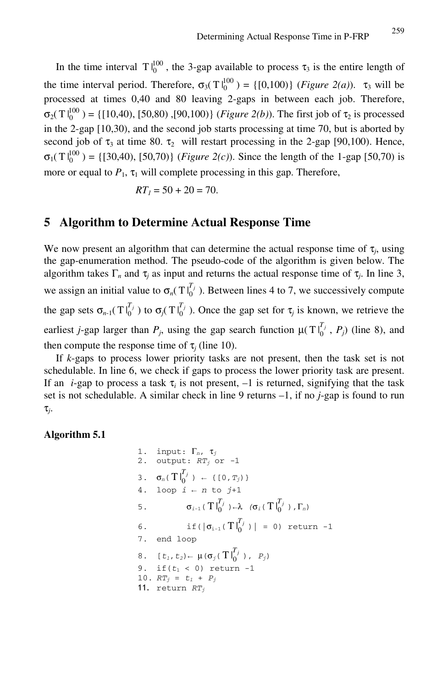In the time interval  $T \, \vert_0^{100}$ , the 3-gap available to process  $\tau_3$  is the entire length of the time interval period. Therefore,  $\sigma_3(Tl_0^{100}) = \{[0,100)\}$  (*Figure 2(a)*).  $\tau_3$  will be processed at times 0,40 and 80 leaving 2-gaps in between each job. Therefore,  $\sigma_2(T \vert_0^{100}) = \{ [ 10, 40), [50, 80), [90, 100) \}$  (*Figure 2(b)*). The first job of τ<sub>2</sub> is processed in the 2-gap [10,30), and the second job starts processing at time 70, but is aborted by second job of  $\tau_3$  at time 80.  $\tau_2$  will restart processing in the 2-gap [90,100). Hence,  $\sigma_1(T \vert_0^{100}) = \{ [30,40), [50,70) \}$  (*Figure 2(c)*). Since the length of the 1-gap [50,70) is more or equal to  $P_1$ ,  $\tau_1$  will complete processing in this gap. Therefore,

$$
RT_1 = 50 + 20 = 70.
$$

## **5 Algorithm to Determine Actual Response Time**

We now present an algorithm that can determine the actual response time of  $\tau_i$ , using the gap-enumeration method. The pseudo-code of the algorithm is given below. The algorithm takes  $\Gamma_n$  and  $\tau_j$  as input and returns the actual response time of  $\tau_j$ . In line 3, we assign an initial value to  $\sigma_n(T|_0^{T_j})$ . Between lines 4 to 7, we successively compute the gap sets  $\sigma_{n-1}(\text{T} \big|_0^{T_j})$  to  $\sigma_j(\text{T} \big|_0^{T_j})$ . Once the gap set for  $\tau_j$  is known, we retrieve the earliest *j*-gap larger than  $P_j$ , using the gap search function  $\mu(T|\mathbf{f}_0^{T_j}, P_j)$  (line 8), and then compute the response time of  $\tau$ <sub>*i*</sub> (line 10).

If *k*-gaps to process lower priority tasks are not present, then the task set is not schedulable. In line 6, we check if gaps to process the lower priority task are present. If an *i*-gap to process a task  $\tau_i$  is not present,  $-1$  is returned, signifying that the task set is not schedulable. A similar check in line 9 returns –1, if no *j*-gap is found to run τ*j*.

**Algorithm 5.1** 

1. input:  $\Gamma_n$ ,  $\tau_j$ 2. output:  $RT_j$  or  $-1$ 3.  $\sigma_n(T|_0^{T_j}) \leftarrow \{ [0, T_j) \}$ 4. loop  $i \in n$  to  $j+1$ 5. σi-1(  $T\mid_{0}^{T_{j}}$  )  $\leftarrow$ λ (σ<sub>i</sub>( $T\mid_{0}^{T_{j}}$ ),  $\Gamma_{n}$ ) 6. if( $|\sigma_{i-1}(T|_0^{T_j})| = 0$ ) return -1 7. end loop 8.  $[t_1, t_2) \leftarrow \mu(\sigma_j(T | \int_0^{T_j}) , P_j)$ 9. if $(t_1 < 0)$  return -1 10.  $RT_j = t_1 + P_j$ 11. return  $RT_i$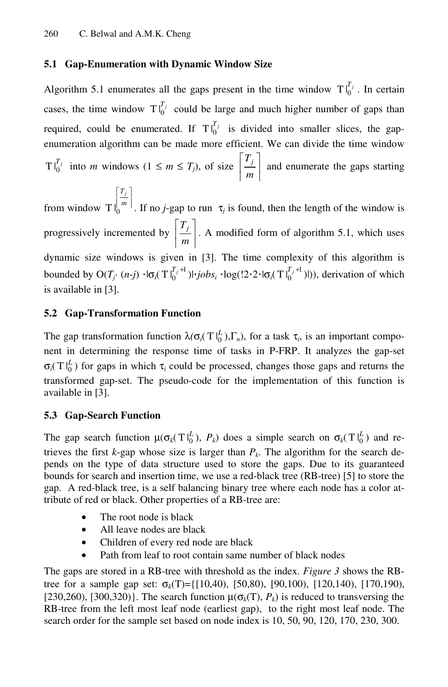## **5.1 Gap-Enumeration with Dynamic Window Size**

Algorithm 5.1 enumerates all the gaps present in the time window  $T\vert_0^{T_j}$ . In certain cases, the time window  $T\vert_0^{T_j}$  could be large and much higher number of gaps than required, could be enumerated. If  $T\vert_0^{T_j}$  is divided into smaller slices, the gapenumeration algorithm can be made more efficient. We can divide the time window  $T\vert_0^{T_j}$  into *m* windows  $(1 \leq m \leq T_j)$ , of size  $\vert \frac{T_j}{T_j} \vert$  $\overline{\phantom{a}}$  $\left|\frac{T_j}{m}\right|$  $\parallel$  $\mathsf{L}$  $\left| \frac{T_j}{m} \right|$  and enumerate the gaps starting  $\overline{\phantom{a}}$  $\mathsf I$ *Tj*

from window  $T\left|\frac{f}{m}\right|$  $\parallel$ *m*  $T \int_0^{m}$ . If no *j*-gap to run  $\tau_j$  is found, then the length of the window is progressively incremented by  $\left| \frac{J}{m} \right|$  $\overline{\phantom{a}}$  $\left|\frac{T_j}{m}\right|$  $\parallel$  $\mathsf{L}$  $\left| \frac{T_j}{m} \right|$ . A modified form of algorithm 5.1, which uses dynamic size windows is given in [3]. The time complexity of this algorithm is bounded by  $O(T_j \cdot (n-j) \cdot \cdot \cdot \cdot \cdot f_0^{T_j+1}) \cdot jobs_i \cdot \cdot \cdot \cdot f_1^{T_j+1} \cdot (T \cdot f_0^{T_j+1})$ , derivation of which is available in [3].

## **5.2 Gap-Transformation Function**

The gap transformation function  $\lambda(\sigma_i(T |_{0}^{L}), \Gamma_n)$ , for a task  $\tau_i$ , is an important component in determining the response time of tasks in P-FRP. It analyzes the gap-set  $\sigma_i(T|_0^L)$  for gaps in which  $\tau_i$  could be processed, changes those gaps and returns the transformed gap-set. The pseudo-code for the implementation of this function is available in [3].

## **5.3 Gap-Search Function**

The gap search function  $\mu(\sigma_k(T|\_0^L), P_k)$  does a simple search on  $\sigma_k(T|\_0^L)$  and retrieves the first  $k$ -gap whose size is larger than  $P_k$ . The algorithm for the search depends on the type of data structure used to store the gaps. Due to its guaranteed bounds for search and insertion time, we use a red-black tree (RB-tree) [5] to store the gap. A red-black tree, is a self balancing binary tree where each node has a color attribute of red or black. Other properties of a RB-tree are:

- The root node is black
- All leave nodes are black
- Children of every red node are black
- Path from leaf to root contain same number of black nodes

The gaps are stored in a RB-tree with threshold as the index. *Figure 3* shows the RBtree for a sample gap set:  $\sigma_k(T) = \{ [10, 40), [50, 80), [90, 100), [120, 140), [170, 190),$ [230,260), [300,320)}. The search function  $\mu(\sigma_k(T), P_k)$  is reduced to transversing the RB-tree from the left most leaf node (earliest gap), to the right most leaf node. The search order for the sample set based on node index is 10, 50, 90, 120, 170, 230, 300.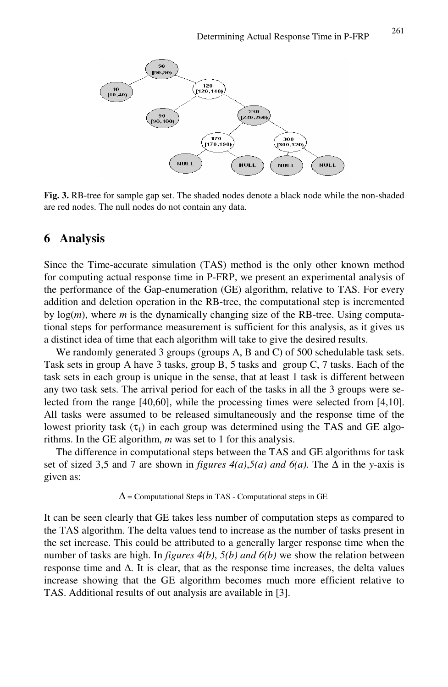

**Fig. 3.** RB-tree for sample gap set. The shaded nodes denote a black node while the non-shaded are red nodes. The null nodes do not contain any data.

### **6 Analysis**

Since the Time-accurate simulation (TAS) method is the only other known method for computing actual response time in P-FRP, we present an experimental analysis of the performance of the Gap-enumeration (GE) algorithm, relative to TAS. For every addition and deletion operation in the RB-tree, the computational step is incremented by log(*m*), where *m* is the dynamically changing size of the RB-tree. Using computational steps for performance measurement is sufficient for this analysis, as it gives us a distinct idea of time that each algorithm will take to give the desired results.

We randomly generated 3 groups (groups A, B and C) of 500 schedulable task sets. Task sets in group A have 3 tasks, group B, 5 tasks and group C, 7 tasks. Each of the task sets in each group is unique in the sense, that at least 1 task is different between any two task sets. The arrival period for each of the tasks in all the 3 groups were selected from the range [40,60], while the processing times were selected from [4,10]. All tasks were assumed to be released simultaneously and the response time of the lowest priority task  $(\tau_1)$  in each group was determined using the TAS and GE algorithms. In the GE algorithm, *m* was set to 1 for this analysis.

The difference in computational steps between the TAS and GE algorithms for task set of sized 3,5 and 7 are shown in *figures*  $4(a)$ , $5(a)$  and  $6(a)$ . The  $\Delta$  in the *y*-axis is given as:

 $\Delta$  = Computational Steps in TAS - Computational steps in GE

It can be seen clearly that GE takes less number of computation steps as compared to the TAS algorithm. The delta values tend to increase as the number of tasks present in the set increase. This could be attributed to a generally larger response time when the number of tasks are high. In *figures 4(b)*, *5(b) and 6(b)* we show the relation between response time and  $\Delta$ . It is clear, that as the response time increases, the delta values increase showing that the GE algorithm becomes much more efficient relative to TAS. Additional results of out analysis are available in [3].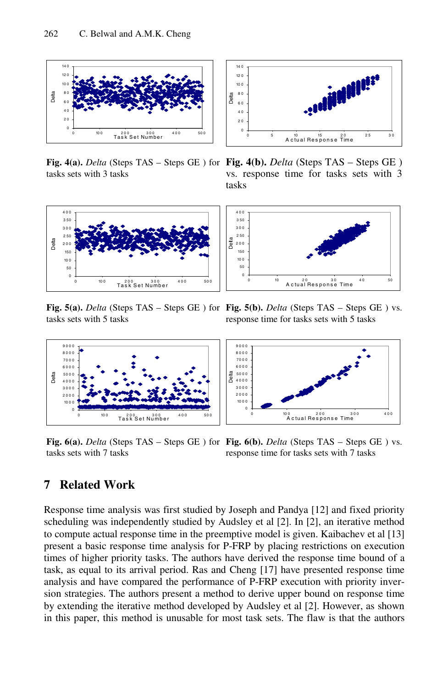

tasks sets with 3 tasks



**Fig. 5(a).** *Delta* (Steps TAS – Steps GE ) for **Fig. 5(b).** *Delta* (Steps TAS – Steps GE ) vs. tasks sets with 5 tasks



**Fig. 6(a).** *Delta* (Steps TAS – Steps GE ) for **Fig. 6(b).** *Delta* (Steps TAS – Steps GE ) vs. tasks sets with 7 tasks



**Fig. 4(a).** *Delta* (Steps TAS – Steps GE ) for **Fig. 4(b).** *Delta* (Steps TAS – Steps GE ) vs. response time for tasks sets with 3 tasks



response time for tasks sets with 5 tasks



response time for tasks sets with 7 tasks

## **7 Related Work**

Response time analysis was first studied by Joseph and Pandya [12] and fixed priority scheduling was independently studied by Audsley et al [2]. In [2], an iterative method to compute actual response time in the preemptive model is given. Kaibachev et al [13] present a basic response time analysis for P-FRP by placing restrictions on execution times of higher priority tasks. The authors have derived the response time bound of a task, as equal to its arrival period. Ras and Cheng [17] have presented response time analysis and have compared the performance of P-FRP execution with priority inversion strategies. The authors present a method to derive upper bound on response time by extending the iterative method developed by Audsley et al [2]. However, as shown in this paper, this method is unusable for most task sets. The flaw is that the authors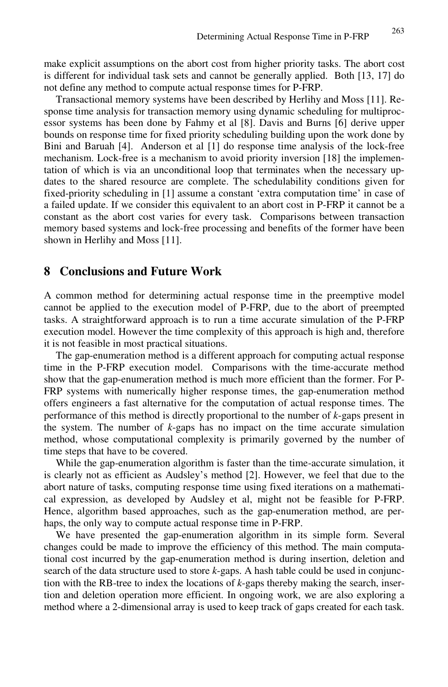make explicit assumptions on the abort cost from higher priority tasks. The abort cost is different for individual task sets and cannot be generally applied. Both [13, 17] do not define any method to compute actual response times for P-FRP.

Transactional memory systems have been described by Herlihy and Moss [11]. Response time analysis for transaction memory using dynamic scheduling for multiprocessor systems has been done by Fahmy et al [8]. Davis and Burns [6] derive upper bounds on response time for fixed priority scheduling building upon the work done by Bini and Baruah [4]. Anderson et al [1] do response time analysis of the lock-free mechanism. Lock-free is a mechanism to avoid priority inversion [18] the implementation of which is via an unconditional loop that terminates when the necessary updates to the shared resource are complete. The schedulability conditions given for fixed-priority scheduling in [1] assume a constant 'extra computation time' in case of a failed update. If we consider this equivalent to an abort cost in P-FRP it cannot be a constant as the abort cost varies for every task. Comparisons between transaction memory based systems and lock-free processing and benefits of the former have been shown in Herlihy and Moss [11].

### **8 Conclusions and Future Work**

A common method for determining actual response time in the preemptive model cannot be applied to the execution model of P-FRP, due to the abort of preempted tasks. A straightforward approach is to run a time accurate simulation of the P-FRP execution model. However the time complexity of this approach is high and, therefore it is not feasible in most practical situations.

The gap-enumeration method is a different approach for computing actual response time in the P-FRP execution model. Comparisons with the time-accurate method show that the gap-enumeration method is much more efficient than the former. For P-FRP systems with numerically higher response times, the gap-enumeration method offers engineers a fast alternative for the computation of actual response times. The performance of this method is directly proportional to the number of *k*-gaps present in the system. The number of *k*-gaps has no impact on the time accurate simulation method, whose computational complexity is primarily governed by the number of time steps that have to be covered.

While the gap-enumeration algorithm is faster than the time-accurate simulation, it is clearly not as efficient as Audsley's method [2]. However, we feel that due to the abort nature of tasks, computing response time using fixed iterations on a mathematical expression, as developed by Audsley et al, might not be feasible for P-FRP. Hence, algorithm based approaches, such as the gap-enumeration method, are perhaps, the only way to compute actual response time in P-FRP.

We have presented the gap-enumeration algorithm in its simple form. Several changes could be made to improve the efficiency of this method. The main computational cost incurred by the gap-enumeration method is during insertion, deletion and search of the data structure used to store *k*-gaps. A hash table could be used in conjunction with the RB-tree to index the locations of *k*-gaps thereby making the search, insertion and deletion operation more efficient. In ongoing work, we are also exploring a method where a 2-dimensional array is used to keep track of gaps created for each task.